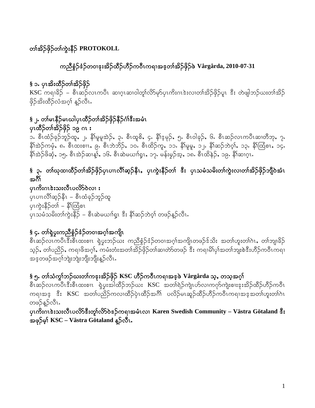## တၢ်အိဉ်ဖိုဉ်တ၊်ကွဲးနီဉ် PROTOKOLL

## ကညီစွဲဉ်ဒံဉ်တဝၢဒုးအိဉ်ထိဉ်ဟိဉ်ကဝီၤကရၢအဒ့တၢ်အိဉ်ဖှိဉ်ဖဲ Vårgårda, 2010-07-31

## § ၁. ပုၤအိးထိဉ်တၢ်အိဉ်ဖိုဉ်

KSC ကရၢခိဉ် – စီၤဆဉ်လၤကပီၤ ဆၢဂ္ၤဆၢ၀ါတူၤ်လိ>်မှာ်ပှၤကိႏၵၤဲးးလၢတၢ်အိဉ်ဖှိဉ်ပူၤ းီး တဲဖျါဘဉ်ဃးတၢ်အိဉ် ဖိုဉ်အိးထိဉ်လံအဂ္ဂါ နဉ်လီၤ.

## §၂. တၢိမၤနိဉ်မၤဃါပုၤထိဉ်တၢ်အိဉ်ဖိုဉ်နိဉ်ဂံၢ်ဒီးအမံၤ ပုၤထိံဉိတၢ်အိဉ်ဖိုဉ် ၁၉ ဂၤ း

ာ. စီၤထံဉ်ခုဉ်ဘူဉ်ထူ, ၂. နှိ၊်မူမူအဲဉ်, ၃. စီၤထူစိ, ၄. နှိၢ်ဒ့မုဉ်, ၅. စီၤဝါခုဉ်, ၆. စီၤဆဉ်လၤကပိၤဆၢတိဘု, ၇. နိ1်အဲဉ်ကမှံ, ၈. စီးထးစၤ၊, ၉. စီးဘဲဘိဉ်, ၁၀. စီးထိဉ်ကူ, ၁၁. နိ1်မူမူ, ၁၂. နိ1်ဆဉ်ဘဲဝ့1်, ၁၃. နိ1်ထြံစၤ, ၁၄. နိ1်အဲဉ်ဖိဆုံ, ၁၅. စီၤအဲဉ်ဆၢန္)်, ၁၆. စီၤဆဲမယၢၢိရှၤ, ၁၇. မန်းမွဉ်အ့, ၁၈. စီၤထိန်ဉ်, ၁၉. နိ1်ဆၢဂံ့ၤ.

## § ၃. တၢိဃုထၢထိဉ်တၢ်အိဉ်ဖှိဉ်ပှၤပၢၤလိၢ်ဆ့ဉ်နီၤ,ပှၤကွဲးနီဉ်တၢ် ဒီး ပှၤသမံသမိးတၢ်ကွဲးလၢတၢ်အိဉ်ဖှိဉ်ဘျိဝဲအံၤ အဂ်ိ

#### ပုၤကိႏဂၤဖဲးသးလီၤပလိ>်ဝဲလၢႏ

ပုၤပၢၤလိၢိဆ္၄နိၤ – စီၤထံခုဉ်ဘူဉ်ထူ ပုၤကွဲးနိ5ှိတ1် – နိ1်ထြံစၤ ပုၤသမံသမိးတၢ်ကွဲးနိဉ် – စီၤဆဲမယၢၢ်ရူၤ ဒီး နိ1်ဆဉ်ဘဲဝ့ၢ် တဖဉ်နဉ်လီၤ $\cdot$ 

## § ၄. တၢ်ရဲပူးကညီစံ့ဉ်ဒံဉ်တဝၢအဂ္ဂါအကျိုၤ

္စီ၊ဆဉ်လၤကပီၤ $\overline{\overline{i}}$ းစီ၊ထးစၢ၊ ရှဲပွးဘဉ်ယႏ ကညီစွံဉ် $\dot{\hat{\imath}}$ ဉ်တဝၢအဂ္ဂါအကျိ၊တဖဉ် $\hat{\hat{\imath}}$ သိႏ အတၢ်ဟူးတၢ်ဂဲၤ,တၢဴဘျ၊ခိဉ် သူဉ်, တၢ်ပညိဉ်, ကရၢဖိအဂ္ဂါ, ကမံးတံးအတၢ်အိဉ်ဖိုဉ်တၢ်ဆၢတဲာ်တဖဉ် ဒီး ကရၢမိၢ်ပုၢ်အတၢ်ဘျးစဲဒီးဟိဉ်ကဝီၤကရၢ အဒ္ဝာဖဉ်အဂ္ဂါဘျံးဘျံးဘျိုးဘျိုးန္ဉ်လီၤ.

### § ၅. တၢ်သံကွၢ်ဘဉ်ဃးတၢ်ကဒုးအိဉ်ဖှိဉ် KSC ဟိဉ်ကဝီၤကရၢအဒ္ဓဖဲ Vårgårda သ့, တသ့အဂ္ဂါ

စီၤဆဉ်လၤကပီၤဒီးစီၤထးစၢၤ ရဲှပွးအါထိဉ်ဘဉ်ယး KSC အတၢ်ရဲဉ်ကျဲၤဟ်လၢကဂုာ်ကျဲးစၢးဒုးအိဉ်ထိဉ်ဟိဉ်ကဝီၤ ကၡ၊အဒ့ <sup>8</sup>း KSC အတၤ်ပညိဉ်ကလၢထိဉ်ပုံၤထိဉ်အဂိ<sup>ု</sup> ပလိဉ်မၤဆူဉ်ထိဉ်ဟိဉ်ကဝိၤကရၢအဒ့အတၤ်ဟူးတၤ်ဂၤ တဖဉ်နဉ်လီၤ.

ပုၤကိႏဂၤဖဲးသးလီၤပလိ $5$ ဖိဳးတူ $1$ လိ $5$ ဝဲဖဉ်ကရၢအမံၤလၢ Karen Swedish Community – Västra Götaland ဖိဳး အဖှဉ်မှ $\S$ KSC – Västra Götaland နူဉ်လီး.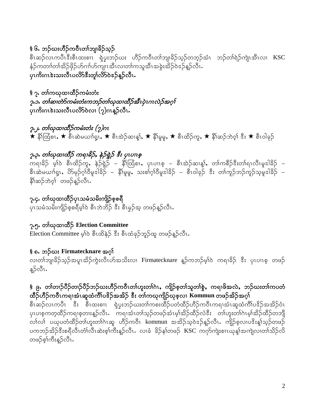# § ၆. ဘဉ်ယးဟိဉ်ကဝီၤတၢ်ဘျ၊ခိဉ်သူဉ်

စီၤဆဉ်လၤကပီၤဒီးစီၤထးစၢၤ ရဲပွးဘဉ်ဃး ဟိဉ်ကဝီၤတၢ်ဘျ၊ခိဉ်သ့ဉ်တဘ့ဉ်အံၤ ဘဉ်တၢ်ရဲဉ်ကျဲၤအီၤလၢ  $\overline{\text{KSC}}$ နံဉ်ကတၢါတၢ်အိဉ်ဖိုဉ်ဟ်ဂၢၢ်ဟ်ကျၤအီၤလၢတၢ်ကသူအီၤအခွဲးအိဉ်ဝဲဒဉ်နဉ်လီၤ. ပုံ၊ကိုးဂၤဒဲးသးလီၤပလိ>်ဒီးတူ၊်လိ>်ဝဲဒဉ်နဉ်လီၤ.

§ ၇. တၢ်ကၰထၢထိဉ်ကမံးတံး ၇.၁. တါဆ၊တဲာ်ကမီးတံးကဘဉ်တါဃုထ၊ထိဉ်အီၤပုံၤဂၤလဲဉ်အဂ္ဂါ ္<br>ပုံကိႈဂၤဒဲးသးလီၤပလိ်ာဝဲလ၊ (၇)ဂၤန္**ဉ်လီၤ**.

၇.၂. တၤ်ဃုထၢထိဉ်ကမံးတံး (၇)ဂၤ  $\star$  နိ $\mathbb{R}$ တ္ဖြစ $\star$ ,  $\star$  စီးဆဲမယၢ $\mathbb{R}^1,\star$  စီးဆဲ့ဉ်ဆၢန္)်,  $\star$  နိ $\mathbb{R}^d$ မူ,  $\star$  စီးထိဉ်ကူ,  $\star$  နိ $\mathbb{R}$ ဆ်ာ်ဘဲ့ဝ့်၊  $\mathbb{R}^1,\star$  စီးဝါခုဉ်

## 

ာ<br>ကရၢခိဉ် မ့္ပ်ာ စီၤထိဉ်ကူ, နဉ်ရွဲဉ် – နီးထြံစၤ, ပုၤပၢၤစ့ – စီၤအဲဉ်ဆၢန္၊်, တၢဴကစီဉ်ဒီးတၢ်ရၤလီၤမူဒါခိဉ် –<br>စီၤဆဲမယၢၢ်ရှ္၊, ဟိမုဉ်ဂ္ဂၢ်ဝီမူဒါခိဉ် – နီးမူမူ, သးစၢ်ဂ္ဂၢ်ဝီမူဒါခိဉ် – စီၤဝါခုဉ် ဒီး တၢဴကူဉ်ဘဉ်ကူဉ်သူမူဒါခိဉ် – နိ1်ဆဉ်ဘဲဝ့္ပြ တဖဉ်နဉ်လီၤ.

၇.၄. တါယုထၢထိံုပုၤသမံသမိးကျိဉ်စ့စရီ ပုၤသမံသမိးကျိဉ်စ့စရီမ့ၢ်ဝဲ စီၤဘဲဘိဉ် ဒီး စီၤမွဉ်အ့ တဖဉ်နူဉ်လီၤႉ

# ၇.၅. တါယုထၢထိို Election Committee

Election Committee မ့<sup>1</sup>ဝဲ စီးထိနဲဉ် ဒီး စီးထံခုဉ်ဘူဉ်ထူ တဖဉ်န္**ဉ်**လီး.

#### § ၈. ဘဉိယး Firmatecknare အဂ္

လၢတၢ်ဘျ၊ခိဉ်သ့ဉ်အပူၤအိဉ်ကွဲးလီၤဟ်အသိးလၢ Firmatecknare န့ဉ်ကဘဉ်မ့ၢ်ဝဲ ကရၢခိဉ် ဒီး ပှၤပၢၤစ့ တဖဉ် န့}လီၤ.

### § ၉**.** တၢ်တၢဉ်ပိဉ်တၢဉ်ပိဉ်ဘဉ်ဃးဟိဉ်ကဝိံၤတၢ်ဟူးတၢ်ဂဲၤ,ကျိဉ်စ့တၢ်သူတၢ်စွဲ,ကရၢဖိအလဲ,ဘဉ်ဃးတၢ်ကပတံ ထိဉ်ဟိဉ်ကဝိၤကရၢအံၤဆူထံကိၢိပ<sup>္ဇ</sup>ဉ်အအိဉ် ဒီး တၢ်ကယုကျိဉ်ယုစ့လၢ Kommun တဖဉ်အိဉ်အဂ္ဂါ

စီၤဆဉ်လၤကပီၤ းီး စီၤထးစၢၤ ရှဲပွးဘဉ်ယးတၤ်ကစးထိဉ်ပတံထိဉ်ဟိဉ်ကဝီၤကရၢအံၤဆူထံကိၢ်ပ<sup>ဒ္ဓ</sup>ဉ်အအိဉ်ဝံၤ ပုၤပၢစ့ကတ့ထိဉ်ကရၢစ့တၢးန့ဉ်လီၤႉ ကရၢအံၤတၢ်သ့ဉ်တဖဉ်အံၤမ့ၢ်အိဉ်ထိဉ်လံ<sup>စွ</sup>ိး တ၊်ဟူးတ၊်ဂဲၤမ့၊်အိဉ်ထိဉ်တဘျီ ္<br>လၤ်လၤ် ပယုပတံထိဉ်တၤ်ဟူးတၤ်ဂၤဆူ ဟိဉ်ကဝီၤ kommun အအိဉ်သဲ့ဝဲအုန်ဉ်လီၤ ကျိဉ်စ့လၤပဒိႏန္၊်သည်တဖဉ် ပကဘဉ်အိဉ်<sup>နွ</sup>းစရီလီၤတံ၊လီၤဆဲးစ့ၢ်ကီးနဉ်လီၤႉ လၢခံ ခိဉ်နှၢ်တဖဉ် KSC ကဂုဉ်ကျဲးစၢၤယုန္၊်အကျဲလၢတၢ်သိဉ်လိ တဖဉ်စွါကီးနဉ်လီၤ.